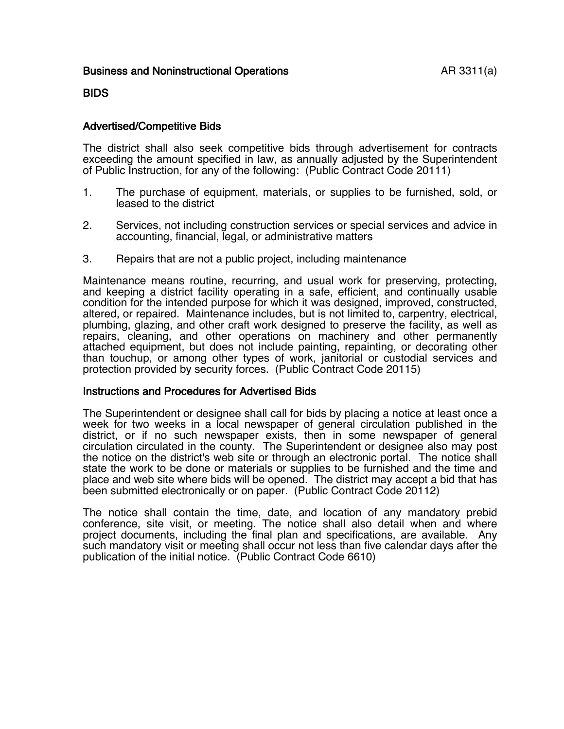# BIDS

## Advertised/Competitive Bids

The district shall also seek competitive bids through advertisement for contracts exceeding the amount specified in law, as annually adjusted by the Superintendent of Public Instruction, for any of the following: (Public Contract Code 20111)

- 1. The purchase of equipment, materials, or supplies to be furnished, sold, or leased to the district
- 2. Services, not including construction services or special services and advice in accounting, financial, legal, or administrative matters
- 3. Repairs that are not a public project, including maintenance

Maintenance means routine, recurring, and usual work for preserving, protecting, and keeping a district facility operating in a safe, efficient, and continually usable condition for the intended purpose for which it was designed, improved, constructed, altered, or repaired. Maintenance includes, but is not limited to, carpentry, electrical, plumbing, glazing, and other craft work designed to preserve the facility, as well as repairs, cleaning, and other operations on machinery and other permanently attached equipment, but does not include painting, repainting, or decorating other than touchup, or among other types of work, janitorial or custodial services and protection provided by security forces. (Public Contract Code 20115)

### Instructions and Procedures for Advertised Bids

The Superintendent or designee shall call for bids by placing a notice at least once a week for two weeks in a local newspaper of general circulation published in the district, or if no such newspaper exists, then in some newspaper of general circulation circulated in the county. The Superintendent or designee also may post the notice on the district's web site or through an electronic portal. The notice shall state the work to be done or materials or supplies to be furnished and the time and place and web site where bids will be opened. The district may accept a bid that has been submitted electronically or on paper. (Public Contract Code 20112)

The notice shall contain the time, date, and location of any mandatory prebid conference, site visit, or meeting. The notice shall also detail when and where project documents, including the final plan and specifications, are available. Any such mandatory visit or meeting shall occur not less than five calendar days after the publication of the initial notice. (Public Contract Code 6610)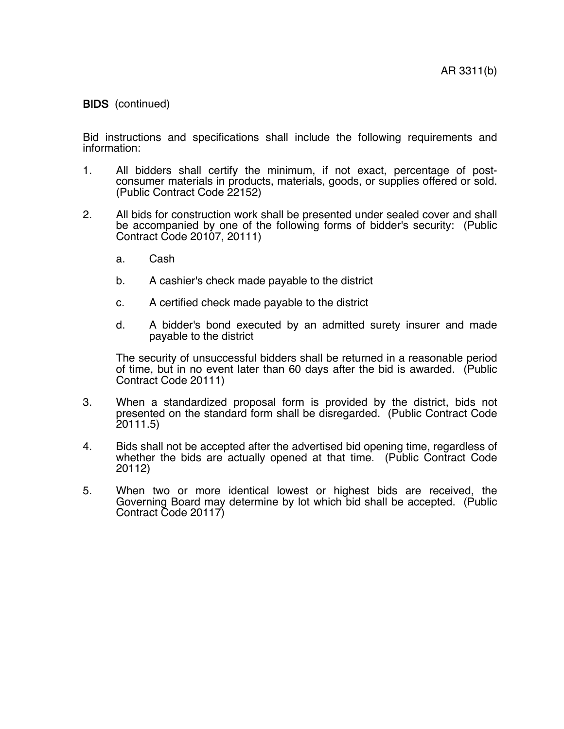Bid instructions and specifications shall include the following requirements and information:

- 1. All bidders shall certify the minimum, if not exact, percentage of postconsumer materials in products, materials, goods, or supplies offered or sold. (Public Contract Code 22152)
- 2. All bids for construction work shall be presented under sealed cover and shall be accompanied by one of the following forms of bidder's security: (Public Contract Code 20107, 20111)
	- a. Cash
	- b. A cashier's check made payable to the district
	- c. A certified check made payable to the district
	- d. A bidder's bond executed by an admitted surety insurer and made payable to the district

The security of unsuccessful bidders shall be returned in a reasonable period of time, but in no event later than 60 days after the bid is awarded. (Public Contract Code 20111)

- 3. When a standardized proposal form is provided by the district, bids not presented on the standard form shall be disregarded. (Public Contract Code 20111.5)
- 4. Bids shall not be accepted after the advertised bid opening time, regardless of whether the bids are actually opened at that time. (Public Contract Code 20112)
- 5. When two or more identical lowest or highest bids are received, the Governing Board may determine by lot which bid shall be accepted. (Public Contract Code 20117)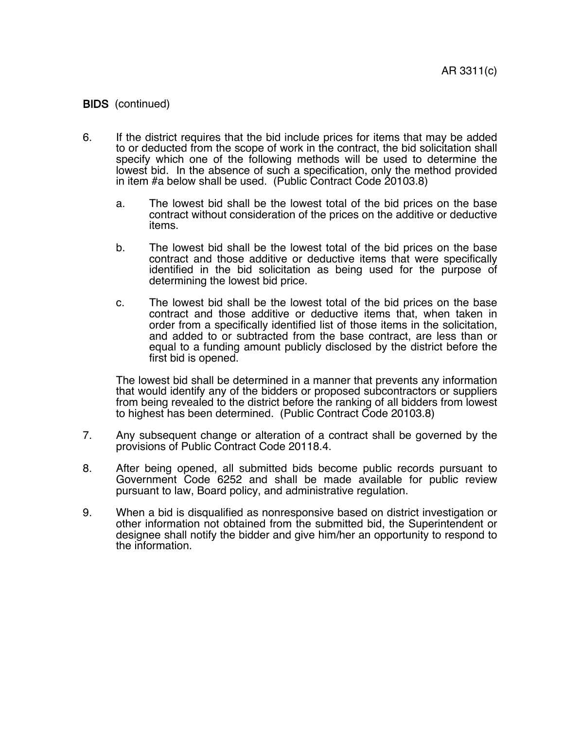- 6. If the district requires that the bid include prices for items that may be added to or deducted from the scope of work in the contract, the bid solicitation shall specify which one of the following methods will be used to determine the lowest bid. In the absence of such a specification, only the method provided in item #a below shall be used. (Public Contract Code 20103.8)
	- a. The lowest bid shall be the lowest total of the bid prices on the base contract without consideration of the prices on the additive or deductive items.
	- b. The lowest bid shall be the lowest total of the bid prices on the base contract and those additive or deductive items that were specifically identified in the bid solicitation as being used for the purpose of determining the lowest bid price.
	- c. The lowest bid shall be the lowest total of the bid prices on the base contract and those additive or deductive items that, when taken in order from a specifically identified list of those items in the solicitation, and added to or subtracted from the base contract, are less than or equal to a funding amount publicly disclosed by the district before the first bid is opened.

The lowest bid shall be determined in a manner that prevents any information that would identify any of the bidders or proposed subcontractors or suppliers from being revealed to the district before the ranking of all bidders from lowest to highest has been determined. (Public Contract Code 20103.8)

- 7. Any subsequent change or alteration of a contract shall be governed by the provisions of Public Contract Code 20118.4.
- 8. After being opened, all submitted bids become public records pursuant to Government Code 6252 and shall be made available for public review pursuant to law, Board policy, and administrative regulation.
- 9. When a bid is disqualified as nonresponsive based on district investigation or other information not obtained from the submitted bid, the Superintendent or designee shall notify the bidder and give him/her an opportunity to respond to the information.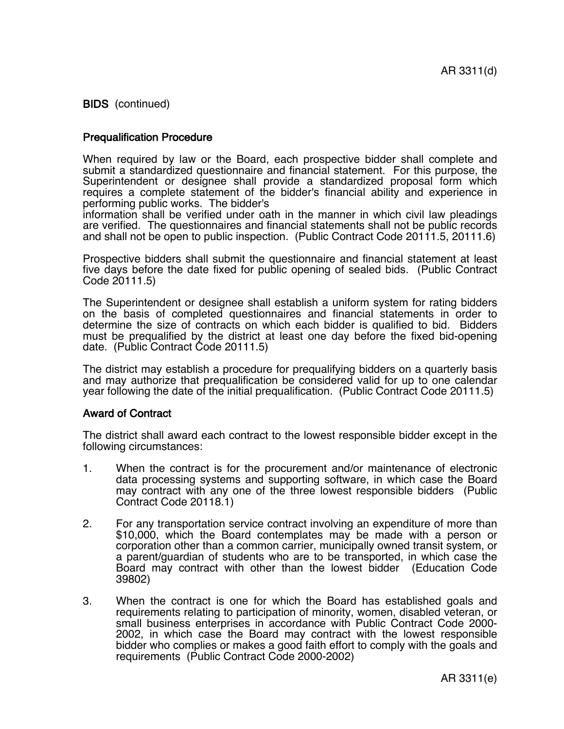### Prequalification Procedure

When required by law or the Board, each prospective bidder shall complete and submit a standardized questionnaire and financial statement. For this purpose, the Superintendent or designee shall provide a standardized proposal form which requires a complete statement of the bidder's financial ability and experience in performing public works. The bidder's

information shall be verified under oath in the manner in which civil law pleadings are verified. The questionnaires and financial statements shall not be public records and shall not be open to public inspection. (Public Contract Code 20111.5, 20111.6)

Prospective bidders shall submit the questionnaire and financial statement at least five days before the date fixed for public opening of sealed bids. (Public Contract Code 20111.5)

The Superintendent or designee shall establish a uniform system for rating bidders on the basis of completed questionnaires and financial statements in order to determine the size of contracts on which each bidder is qualified to bid. Bidders must be prequalified by the district at least one day before the fixed bid-opening date. (Public Contract Code 20111.5)

The district may establish a procedure for prequalifying bidders on a quarterly basis and may authorize that prequalification be considered valid for up to one calendar year following the date of the initial prequalification. (Public Contract Code 20111.5)

#### Award of Contract

The district shall award each contract to the lowest responsible bidder except in the following circumstances:

- 1. When the contract is for the procurement and/or maintenance of electronic data processing systems and supporting software, in which case the Board may contract with any one of the three lowest responsible bidders (Public Contract Code 20118.1)
- 2. For any transportation service contract involving an expenditure of more than \$10,000, which the Board contemplates may be made with a person or corporation other than a common carrier, municipally owned transit system, or a parent/guardian of students who are to be transported, in which case the Board may contract with other than the lowest bidder (Education Code 39802)
- 3. When the contract is one for which the Board has established goals and requirements relating to participation of minority, women, disabled veteran, or small business enterprises in accordance with Public Contract Code 2000- 2002, in which case the Board may contract with the lowest responsible bidder who complies or makes a good faith effort to comply with the goals and requirements (Public Contract Code 2000-2002)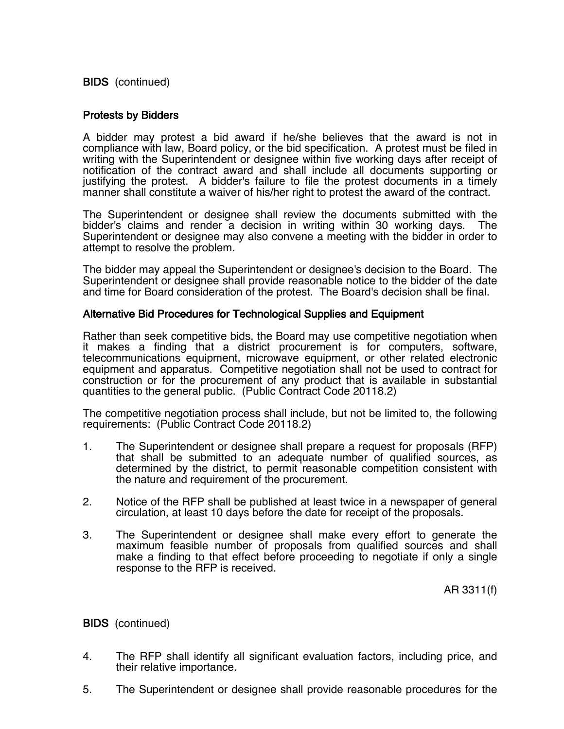## Protests by Bidders

A bidder may protest a bid award if he/she believes that the award is not in compliance with law, Board policy, or the bid specification. A protest must be filed in writing with the Superintendent or designee within five working days after receipt of notification of the contract award and shall include all documents supporting or justifying the protest. A bidder's failure to file the protest documents in a timely manner shall constitute a waiver of his/her right to protest the award of the contract.

The Superintendent or designee shall review the documents submitted with the bidder's claims and render a decision in writing within 30 working days. The Superintendent or designee may also convene a meeting with the bidder in order to attempt to resolve the problem.

The bidder may appeal the Superintendent or designee's decision to the Board. The Superintendent or designee shall provide reasonable notice to the bidder of the date and time for Board consideration of the protest. The Board's decision shall be final.

### Alternative Bid Procedures for Technological Supplies and Equipment

Rather than seek competitive bids, the Board may use competitive negotiation when it makes a finding that a district procurement is for computers, software, telecommunications equipment, microwave equipment, or other related electronic equipment and apparatus. Competitive negotiation shall not be used to contract for construction or for the procurement of any product that is available in substantial quantities to the general public. (Public Contract Code 20118.2)

The competitive negotiation process shall include, but not be limited to, the following requirements: (Public Contract Code 20118.2)

- 1. The Superintendent or designee shall prepare a request for proposals (RFP) that shall be submitted to an adequate number of qualified sources, as determined by the district, to permit reasonable competition consistent with the nature and requirement of the procurement.
- 2. Notice of the RFP shall be published at least twice in a newspaper of general circulation, at least 10 days before the date for receipt of the proposals.
- 3. The Superintendent or designee shall make every effort to generate the maximum feasible number of proposals from qualified sources and shall make a finding to that effect before proceeding to negotiate if only a single response to the RFP is received.

AR 3311(f)

### BIDS (continued)

- 4. The RFP shall identify all significant evaluation factors, including price, and their relative importance.
- 5. The Superintendent or designee shall provide reasonable procedures for the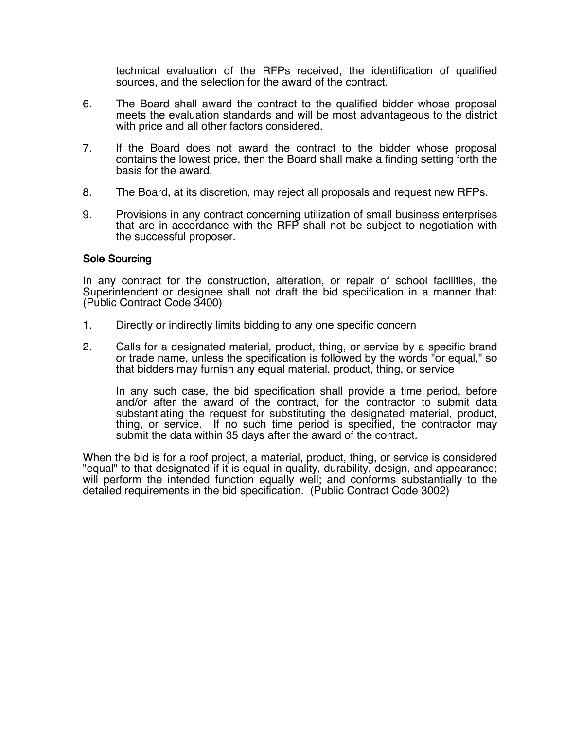technical evaluation of the RFPs received, the identification of qualified sources, and the selection for the award of the contract.

- 6. The Board shall award the contract to the qualified bidder whose proposal meets the evaluation standards and will be most advantageous to the district with price and all other factors considered.
- 7. If the Board does not award the contract to the bidder whose proposal contains the lowest price, then the Board shall make a finding setting forth the basis for the award.
- 8. The Board, at its discretion, may reject all proposals and request new RFPs.
- 9. Provisions in any contract concerning utilization of small business enterprises that are in accordance with the RFP shall not be subject to negotiation with the successful proposer.

### Sole Sourcing

In any contract for the construction, alteration, or repair of school facilities, the Superintendent or designee shall not draft the bid specification in a manner that: (Public Contract Code 3400)

- 1. Directly or indirectly limits bidding to any one specific concern
- 2. Calls for a designated material, product, thing, or service by a specific brand or trade name, unless the specification is followed by the words "or equal," so that bidders may furnish any equal material, product, thing, or service

In any such case, the bid specification shall provide a time period, before and/or after the award of the contract, for the contractor to submit data substantiating the request for substituting the designated material, product, thing, or service. If no such time period is specified, the contractor may submit the data within 35 days after the award of the contract.

When the bid is for a roof project, a material, product, thing, or service is considered "equal" to that designated if it is equal in quality, durability, design, and appearance; will perform the intended function equally well; and conforms substantially to the detailed requirements in the bid specification. (Public Contract Code 3002)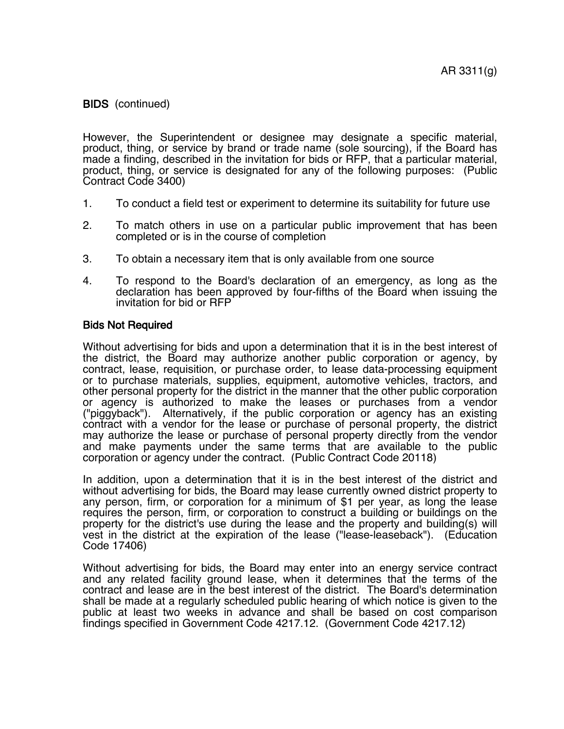However, the Superintendent or designee may designate a specific material, product, thing, or service by brand or trade name (sole sourcing), if the Board has made a finding, described in the invitation for bids or RFP, that a particular material, product, thing, or service is designated for any of the following purposes: (Public Contract Code 3400)

- 1. To conduct a field test or experiment to determine its suitability for future use
- 2. To match others in use on a particular public improvement that has been completed or is in the course of completion
- 3. To obtain a necessary item that is only available from one source
- 4. To respond to the Board's declaration of an emergency, as long as the declaration has been approved by four-fifths of the Board when issuing the invitation for bid or RFP

#### Bids Not Required

Without advertising for bids and upon a determination that it is in the best interest of the district, the Board may authorize another public corporation or agency, by contract, lease, requisition, or purchase order, to lease data-processing equipment or to purchase materials, supplies, equipment, automotive vehicles, tractors, and other personal property for the district in the manner that the other public corporation or agency is authorized to make the leases or purchases from a vendor ("piggyback"). Alternatively, if the public corporation or agency has an existing contract with a vendor for the lease or purchase of personal property, the district may authorize the lease or purchase of personal property directly from the vendor and make payments under the same terms that are available to the public corporation or agency under the contract. (Public Contract Code 20118)

In addition, upon a determination that it is in the best interest of the district and without advertising for bids, the Board may lease currently owned district property to any person, firm, or corporation for a minimum of \$1 per year, as long the lease requires the person, firm, or corporation to construct a building or buildings on the property for the district's use during the lease and the property and building(s) will vest in the district at the expiration of the lease ("lease-leaseback"). (Education Code 17406)

Without advertising for bids, the Board may enter into an energy service contract and any related facility ground lease, when it determines that the terms of the contract and lease are in the best interest of the district. The Board's determination shall be made at a regularly scheduled public hearing of which notice is given to the public at least two weeks in advance and shall be based on cost comparison findings specified in Government Code 4217.12. (Government Code 4217.12)